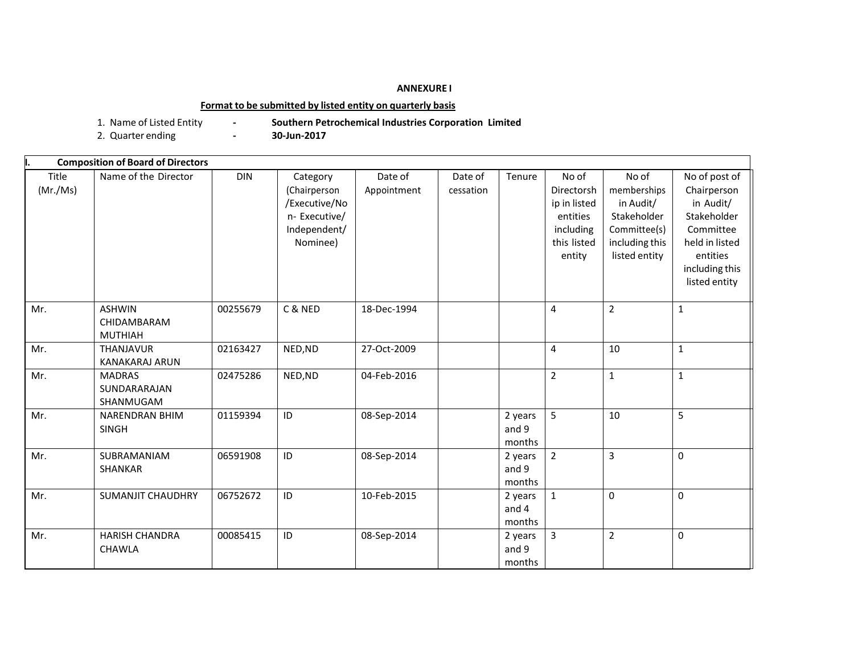## **ANNEXURE I**

## **Format to be submitted by listed entity on quarterly basis**

- 
- 1. Name of Listed Entity **- Southern Petrochemical Industries Corporation Limited**
- 2. Quarter ending **-**
- 

|                   | <b>Composition of Board of Directors</b>       |            |                                                                                        |                        |                      |                            |                                                                                       |                                                                                                     |                                                                                                                                        |
|-------------------|------------------------------------------------|------------|----------------------------------------------------------------------------------------|------------------------|----------------------|----------------------------|---------------------------------------------------------------------------------------|-----------------------------------------------------------------------------------------------------|----------------------------------------------------------------------------------------------------------------------------------------|
| Title<br>(Mr./Ms) | Name of the Director                           | <b>DIN</b> | Category<br>(Chairperson<br>/Executive/No<br>n- Executive/<br>Independent/<br>Nominee) | Date of<br>Appointment | Date of<br>cessation | Tenure                     | No of<br>Directorsh<br>ip in listed<br>entities<br>including<br>this listed<br>entity | No of<br>memberships<br>in Audit/<br>Stakeholder<br>Committee(s)<br>including this<br>listed entity | No of post of<br>Chairperson<br>in Audit/<br>Stakeholder<br>Committee<br>held in listed<br>entities<br>including this<br>listed entity |
| Mr.               | <b>ASHWIN</b><br>CHIDAMBARAM<br><b>MUTHIAH</b> | 00255679   | C & NED                                                                                | 18-Dec-1994            |                      |                            | $\overline{4}$                                                                        | $\overline{2}$                                                                                      | $\mathbf{1}$                                                                                                                           |
| Mr.               | <b>THANJAVUR</b><br><b>KANAKARAJ ARUN</b>      | 02163427   | NED, ND                                                                                | 27-Oct-2009            |                      |                            | $\overline{4}$                                                                        | 10                                                                                                  | $\mathbf{1}$                                                                                                                           |
| Mr.               | <b>MADRAS</b><br>SUNDARARAJAN<br>SHANMUGAM     | 02475286   | NED, ND                                                                                | 04-Feb-2016            |                      |                            | $\overline{2}$                                                                        | $\mathbf{1}$                                                                                        | $\mathbf{1}$                                                                                                                           |
| Mr.               | <b>NARENDRAN BHIM</b><br><b>SINGH</b>          | 01159394   | ID                                                                                     | 08-Sep-2014            |                      | 2 years<br>and 9<br>months | 5                                                                                     | 10                                                                                                  | 5                                                                                                                                      |
| Mr.               | SUBRAMANIAM<br>SHANKAR                         | 06591908   | ID                                                                                     | 08-Sep-2014            |                      | 2 years<br>and 9<br>months | $\overline{2}$                                                                        | $\overline{3}$                                                                                      | 0                                                                                                                                      |
| Mr.               | <b>SUMANJIT CHAUDHRY</b>                       | 06752672   | ID                                                                                     | 10-Feb-2015            |                      | 2 years<br>and 4<br>months | $\mathbf{1}$                                                                          | 0                                                                                                   | $\Omega$                                                                                                                               |
| Mr.               | <b>HARISH CHANDRA</b><br><b>CHAWLA</b>         | 00085415   | ID                                                                                     | 08-Sep-2014            |                      | 2 years<br>and 9<br>months | $\overline{3}$                                                                        | $\overline{2}$                                                                                      | 0                                                                                                                                      |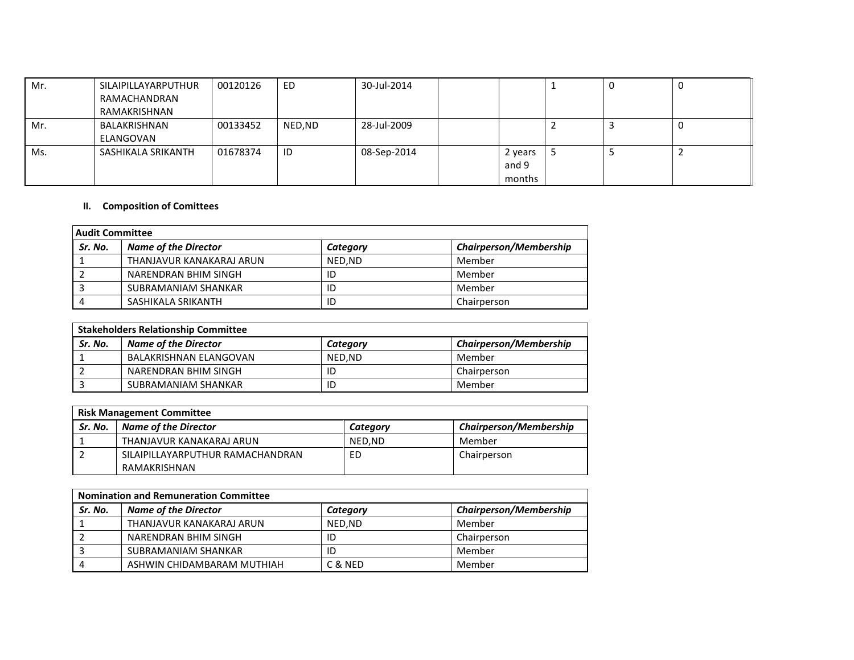| Mr. | SILAIPILLAYARPUTHUR | 00120126 | ED     | 30-Jul-2014 |         |   | <b>U</b> |  |
|-----|---------------------|----------|--------|-------------|---------|---|----------|--|
|     | RAMACHANDRAN        |          |        |             |         |   |          |  |
|     | RAMAKRISHNAN        |          |        |             |         |   |          |  |
| Mr. | BALAKRISHNAN        | 00133452 | NED,ND | 28-Jul-2009 |         |   | J.       |  |
|     | ELANGOVAN           |          |        |             |         |   |          |  |
| Ms. | SASHIKALA SRIKANTH  | 01678374 | ID     | 08-Sep-2014 | 2 years | ͻ | E        |  |
|     |                     |          |        |             | and 9   |   |          |  |
|     |                     |          |        |             | months  |   |          |  |

## **II. Composition of Comittees**

| <b>Audit Committee</b> |                             |          |                               |  |
|------------------------|-----------------------------|----------|-------------------------------|--|
| Sr. No.                | <b>Name of the Director</b> | Category | <b>Chairperson/Membership</b> |  |
|                        | THANJAVUR KANAKARAJ ARUN    | NED.ND   | Member                        |  |
|                        | NARENDRAN BHIM SINGH        | ID       | Member                        |  |
|                        | SUBRAMANIAM SHANKAR         | ID       | Member                        |  |
|                        | SASHIKALA SRIKANTH          | ID       | Chairperson                   |  |

|         | <b>Stakeholders Relationship Committee</b> |          |                               |  |  |
|---------|--------------------------------------------|----------|-------------------------------|--|--|
| Sr. No. | <b>Name of the Director</b>                | Category | <b>Chairperson/Membership</b> |  |  |
|         | <b>BALAKRISHNAN ELANGOVAN</b>              | NED.ND   | Member                        |  |  |
|         | NARENDRAN BHIM SINGH                       | ID       | Chairperson                   |  |  |
|         | SUBRAMANIAM SHANKAR                        | ID       | Member                        |  |  |

| <b>Risk Management Committee</b> |                                  |          |                               |  |  |
|----------------------------------|----------------------------------|----------|-------------------------------|--|--|
| Sr. No.                          | <b>Name of the Director</b>      | Category | <b>Chairperson/Membership</b> |  |  |
|                                  | THANJAVUR KANAKARAJ ARUN         | NED.ND   | Member                        |  |  |
|                                  | SILAIPILLAYARPUTHUR RAMACHANDRAN | ED       | Chairperson                   |  |  |
|                                  | RAMAKRISHNAN                     |          |                               |  |  |

| <b>Nomination and Remuneration Committee</b> |                             |          |                               |  |  |
|----------------------------------------------|-----------------------------|----------|-------------------------------|--|--|
| Sr. No.                                      | <b>Name of the Director</b> | Category | <b>Chairperson/Membership</b> |  |  |
|                                              | THANJAVUR KANAKARAJ ARUN    | NED.ND   | Member                        |  |  |
|                                              | NARENDRAN BHIM SINGH        | ID       | Chairperson                   |  |  |
|                                              | SUBRAMANIAM SHANKAR         | ID       | Member                        |  |  |
|                                              | ASHWIN CHIDAMBARAM MUTHIAH  | C & NED  | Member                        |  |  |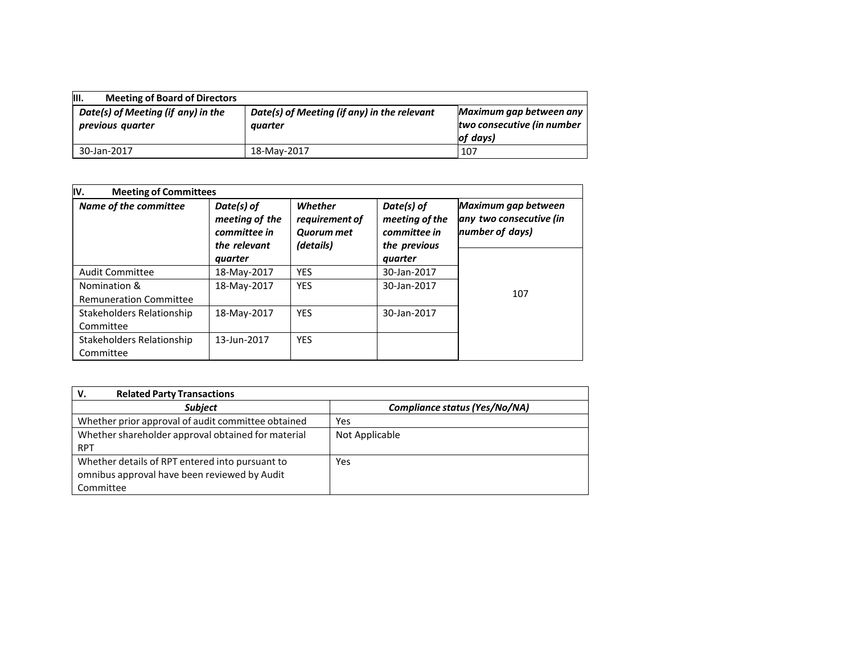| III.<br><b>Meeting of Board of Directors</b>           |                                                        |                                                                    |
|--------------------------------------------------------|--------------------------------------------------------|--------------------------------------------------------------------|
| Date(s) of Meeting (if any) in the<br>previous quarter | Date(s) of Meeting (if any) in the relevant<br>auarter | Maximum gap between any<br>two consecutive (in number<br>lof days) |
| 30-Jan-2017                                            | 18-May-2017                                            | 107                                                                |

| IV.<br><b>Meeting of Committees</b>           |                                                              |                                                             |                                                              |                                                                   |
|-----------------------------------------------|--------------------------------------------------------------|-------------------------------------------------------------|--------------------------------------------------------------|-------------------------------------------------------------------|
| Name of the committee                         | Date(s) of<br>meeting of the<br>committee in<br>the relevant | Whether<br>requirement of<br><b>Quorum met</b><br>(details) | Date(s) of<br>meeting of the<br>committee in<br>the previous | Maximum gap between<br>any two consecutive (in<br>number of days) |
|                                               | quarter                                                      |                                                             | quarter                                                      |                                                                   |
| <b>Audit Committee</b>                        | 18-May-2017                                                  | <b>YES</b>                                                  | 30-Jan-2017                                                  |                                                                   |
| Nomination &<br><b>Remuneration Committee</b> | 18-May-2017                                                  | <b>YES</b>                                                  | 30-Jan-2017                                                  | 107                                                               |
| Stakeholders Relationship<br>Committee        | 18-May-2017                                                  | <b>YES</b>                                                  | 30-Jan-2017                                                  |                                                                   |
| Stakeholders Relationship<br>Committee        | 13-Jun-2017                                                  | <b>YES</b>                                                  |                                                              |                                                                   |

| <b>Related Party Transactions</b><br>V.            |                               |
|----------------------------------------------------|-------------------------------|
| <b>Subject</b>                                     | Compliance status (Yes/No/NA) |
| Whether prior approval of audit committee obtained | Yes                           |
| Whether shareholder approval obtained for material | Not Applicable                |
| <b>RPT</b>                                         |                               |
| Whether details of RPT entered into pursuant to    | Yes                           |
| omnibus approval have been reviewed by Audit       |                               |
| Committee                                          |                               |